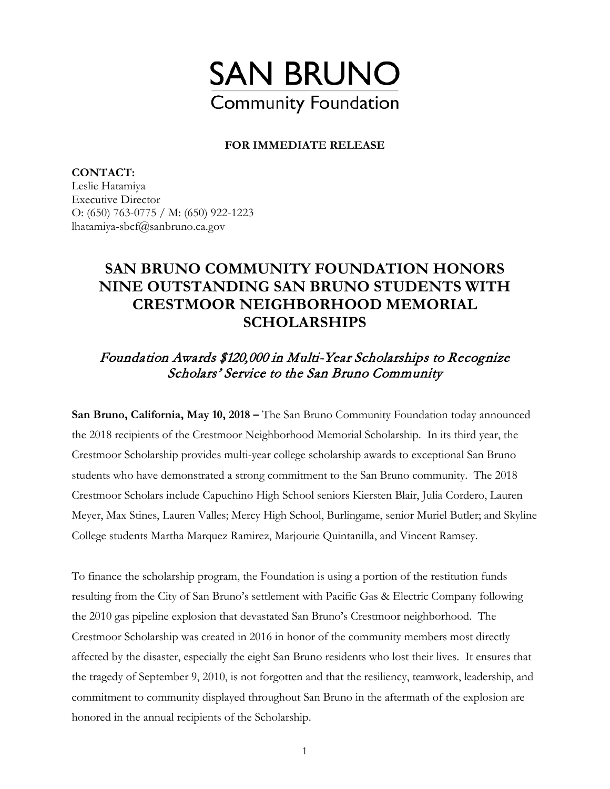

## **FOR IMMEDIATE RELEASE**

**CONTACT:**  Leslie Hatamiya Executive Director O: (650) 763-0775 / M: (650) 922-1223 lhatamiya-sbcf@sanbruno.ca.gov

## **SAN BRUNO COMMUNITY FOUNDATION HONORS NINE OUTSTANDING SAN BRUNO STUDENTS WITH CRESTMOOR NEIGHBORHOOD MEMORIAL SCHOLARSHIPS**

## Foundation Awards \$120,000 in Multi-Year Scholarships to Recognize Scholars' Service to the San Bruno Community

**San Bruno, California, May 10, 2018 –** The San Bruno Community Foundation today announced the 2018 recipients of the Crestmoor Neighborhood Memorial Scholarship. In its third year, the Crestmoor Scholarship provides multi-year college scholarship awards to exceptional San Bruno students who have demonstrated a strong commitment to the San Bruno community. The 2018 Crestmoor Scholars include Capuchino High School seniors Kiersten Blair, Julia Cordero, Lauren Meyer, Max Stines, Lauren Valles; Mercy High School, Burlingame, senior Muriel Butler; and Skyline College students Martha Marquez Ramirez, Marjourie Quintanilla, and Vincent Ramsey.

To finance the scholarship program, the Foundation is using a portion of the restitution funds resulting from the City of San Bruno's settlement with Pacific Gas & Electric Company following the 2010 gas pipeline explosion that devastated San Bruno's Crestmoor neighborhood. The Crestmoor Scholarship was created in 2016 in honor of the community members most directly affected by the disaster, especially the eight San Bruno residents who lost their lives. It ensures that the tragedy of September 9, 2010, is not forgotten and that the resiliency, teamwork, leadership, and commitment to community displayed throughout San Bruno in the aftermath of the explosion are honored in the annual recipients of the Scholarship.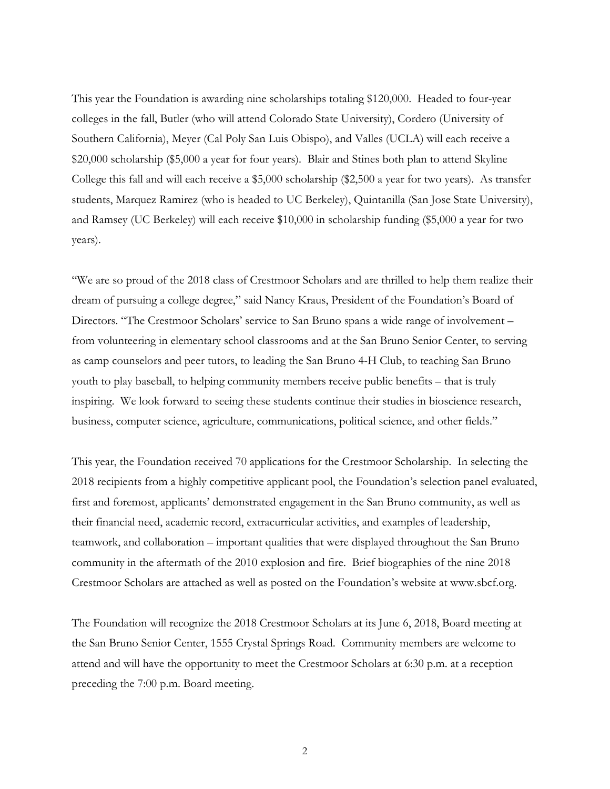This year the Foundation is awarding nine scholarships totaling \$120,000. Headed to four-year colleges in the fall, Butler (who will attend Colorado State University), Cordero (University of Southern California), Meyer (Cal Poly San Luis Obispo), and Valles (UCLA) will each receive a \$20,000 scholarship (\$5,000 a year for four years). Blair and Stines both plan to attend Skyline College this fall and will each receive a \$5,000 scholarship (\$2,500 a year for two years). As transfer students, Marquez Ramirez (who is headed to UC Berkeley), Quintanilla (San Jose State University), and Ramsey (UC Berkeley) will each receive \$10,000 in scholarship funding (\$5,000 a year for two years).

"We are so proud of the 2018 class of Crestmoor Scholars and are thrilled to help them realize their dream of pursuing a college degree," said Nancy Kraus, President of the Foundation's Board of Directors. "The Crestmoor Scholars' service to San Bruno spans a wide range of involvement – from volunteering in elementary school classrooms and at the San Bruno Senior Center, to serving as camp counselors and peer tutors, to leading the San Bruno 4-H Club, to teaching San Bruno youth to play baseball, to helping community members receive public benefits – that is truly inspiring. We look forward to seeing these students continue their studies in bioscience research, business, computer science, agriculture, communications, political science, and other fields."

This year, the Foundation received 70 applications for the Crestmoor Scholarship. In selecting the 2018 recipients from a highly competitive applicant pool, the Foundation's selection panel evaluated, first and foremost, applicants' demonstrated engagement in the San Bruno community, as well as their financial need, academic record, extracurricular activities, and examples of leadership, teamwork, and collaboration – important qualities that were displayed throughout the San Bruno community in the aftermath of the 2010 explosion and fire. Brief biographies of the nine 2018 Crestmoor Scholars are attached as well as posted on the Foundation's website at www.sbcf.org.

The Foundation will recognize the 2018 Crestmoor Scholars at its June 6, 2018, Board meeting at the San Bruno Senior Center, 1555 Crystal Springs Road. Community members are welcome to attend and will have the opportunity to meet the Crestmoor Scholars at 6:30 p.m. at a reception preceding the 7:00 p.m. Board meeting.

2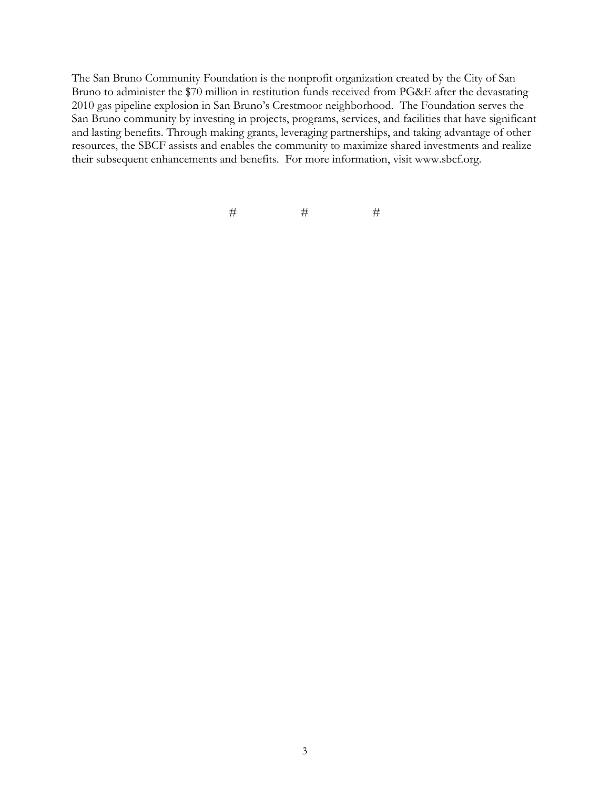The San Bruno Community Foundation is the nonprofit organization created by the City of San Bruno to administer the \$70 million in restitution funds received from PG&E after the devastating 2010 gas pipeline explosion in San Bruno's Crestmoor neighborhood. The Foundation serves the San Bruno community by investing in projects, programs, services, and facilities that have significant and lasting benefits. Through making grants, leveraging partnerships, and taking advantage of other resources, the SBCF assists and enables the community to maximize shared investments and realize their subsequent enhancements and benefits. For more information, visit www.sbcf.org.

 $\#$   $\qquad$   $\qquad$   $\#$   $\qquad$   $\qquad$   $\#$